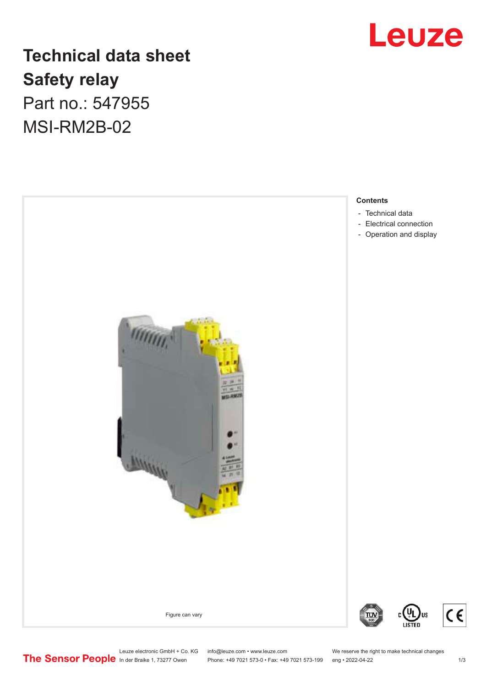### Leuze

### **Technical data sheet Safety relay** Part no.: 547955 MSI-RM2B-02



Leuze electronic GmbH + Co. KG info@leuze.com • www.leuze.com We reserve the right to make technical changes<br>
The Sensor People in der Braike 1, 73277 Owen Phone: +49 7021 573-0 • Fax: +49 7021 573-199 eng • 2022-04-22

Phone: +49 7021 573-0 • Fax: +49 7021 573-199 eng • 2022-04-22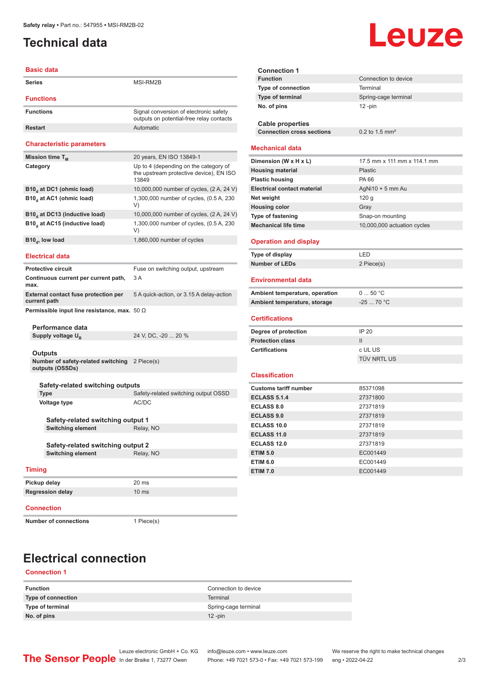#### <span id="page-1-0"></span>**Technical data**

# Leuze

|                                                             | <b>Basic data</b>                                             |                                                                                           |  |  |
|-------------------------------------------------------------|---------------------------------------------------------------|-------------------------------------------------------------------------------------------|--|--|
| Series                                                      |                                                               | MSI-RM2B                                                                                  |  |  |
| <b>Functions</b>                                            |                                                               |                                                                                           |  |  |
| <b>Functions</b>                                            |                                                               | Signal conversion of electronic safety<br>outputs on potential-free relay contacts        |  |  |
| <b>Restart</b>                                              |                                                               | Automatic                                                                                 |  |  |
|                                                             | <b>Characteristic parameters</b>                              |                                                                                           |  |  |
| Mission time T <sub>M</sub>                                 |                                                               | 20 years, EN ISO 13849-1                                                                  |  |  |
| Category                                                    |                                                               | Up to 4 (depending on the category of<br>the upstream protective device), EN ISO<br>13849 |  |  |
|                                                             | B10, at DC1 (ohmic load)                                      | 10,000,000 number of cycles, (2 A, 24 V)                                                  |  |  |
|                                                             | B10, at AC1 (ohmic load)                                      | 1,300,000 number of cycles, (0.5 A, 230)<br>V)                                            |  |  |
|                                                             | B10 <sub>d</sub> at DC13 (inductive load)                     | 10,000,000 number of cycles, (2 A, 24 V)                                                  |  |  |
|                                                             | B10 <sub>d</sub> at AC15 (inductive load)                     | 1,300,000 number of cycles, (0.5 A, 230<br>V)                                             |  |  |
|                                                             | B10 <sub>d</sub> , low load                                   | 1,860,000 number of cycles                                                                |  |  |
|                                                             | <b>Electrical data</b>                                        |                                                                                           |  |  |
|                                                             | <b>Protective circuit</b>                                     | Fuse on switching output, upstream                                                        |  |  |
| max.                                                        | Continuous current per current path,                          | 3A                                                                                        |  |  |
| <b>External contact fuse protection per</b><br>current path |                                                               | 5 A quick-action, or 3.15 A delay-action                                                  |  |  |
| Permissible input line resistance, max. $50 \Omega$         |                                                               |                                                                                           |  |  |
|                                                             | Performance data                                              |                                                                                           |  |  |
|                                                             | Supply voltage U <sub>B</sub>                                 | 24 V, DC, -20  20 %                                                                       |  |  |
|                                                             | <b>Outputs</b>                                                |                                                                                           |  |  |
|                                                             | Number of safety-related switching<br>outputs (OSSDs)         | 2 Piece(s)                                                                                |  |  |
|                                                             |                                                               |                                                                                           |  |  |
|                                                             | Safety-related switching outputs<br>Type                      | Safety-related switching output OSSD                                                      |  |  |
|                                                             | <b>Voltage type</b>                                           | AC/DC                                                                                     |  |  |
|                                                             |                                                               |                                                                                           |  |  |
| Safety-related switching output 1                           |                                                               |                                                                                           |  |  |
|                                                             | <b>Switching element</b>                                      | Relay, NO                                                                                 |  |  |
|                                                             |                                                               |                                                                                           |  |  |
|                                                             | Safety-related switching output 2<br><b>Switching element</b> | Relay, NO                                                                                 |  |  |
|                                                             |                                                               |                                                                                           |  |  |
| <b>Timing</b>                                               |                                                               |                                                                                           |  |  |
|                                                             | Pickup delay                                                  | 20 ms                                                                                     |  |  |
| <b>Regression delay</b>                                     |                                                               | 10 <sub>ms</sub>                                                                          |  |  |
| <b>Connection</b>                                           |                                                               |                                                                                           |  |  |
| <b>Number of connections</b>                                |                                                               | 1 Piece(s)                                                                                |  |  |

| <b>Connection 1</b>                                                                                             |                              |  |  |  |  |
|-----------------------------------------------------------------------------------------------------------------|------------------------------|--|--|--|--|
| <b>Function</b>                                                                                                 | Connection to device         |  |  |  |  |
| <b>Type of connection</b>                                                                                       | Terminal                     |  |  |  |  |
| Type of terminal                                                                                                | Spring-cage terminal         |  |  |  |  |
| No. of pins                                                                                                     | $12 - pin$                   |  |  |  |  |
|                                                                                                                 |                              |  |  |  |  |
| <b>Cable properties</b>                                                                                         |                              |  |  |  |  |
| <b>Connection cross sections</b>                                                                                | $0.2$ to 1.5 mm <sup>2</sup> |  |  |  |  |
| <b>Mechanical data</b>                                                                                          |                              |  |  |  |  |
| Dimension (W x H x L)                                                                                           | 17.5 mm x 111 mm x 114.1 mm  |  |  |  |  |
| <b>Housing material</b>                                                                                         | Plastic                      |  |  |  |  |
| <b>Plastic housing</b>                                                                                          | PA 66                        |  |  |  |  |
| <b>Electrical contact material</b>                                                                              | $AgNi10 + 5$ mm Au           |  |  |  |  |
| Net weight                                                                                                      | 120 <sub>g</sub>             |  |  |  |  |
| <b>Housing color</b>                                                                                            | Gray                         |  |  |  |  |
| Type of fastening                                                                                               | Snap-on mounting             |  |  |  |  |
| <b>Mechanical life time</b>                                                                                     | 10,000,000 actuation cycles  |  |  |  |  |
| <b>Operation and display</b>                                                                                    |                              |  |  |  |  |
| Type of display                                                                                                 | LED                          |  |  |  |  |
| <b>Number of LEDs</b>                                                                                           | 2 Piece(s)                   |  |  |  |  |
| Environmental data                                                                                              |                              |  |  |  |  |
|                                                                                                                 |                              |  |  |  |  |
|                                                                                                                 | 050 °C                       |  |  |  |  |
|                                                                                                                 | $-2570 °C$                   |  |  |  |  |
|                                                                                                                 |                              |  |  |  |  |
|                                                                                                                 |                              |  |  |  |  |
| Ambient temperature, operation<br>Ambient temperature, storage<br><b>Certifications</b><br>Degree of protection | IP 20                        |  |  |  |  |
| <b>Protection class</b>                                                                                         | $\mathbf{H}$                 |  |  |  |  |
| <b>Certifications</b>                                                                                           | c UL US                      |  |  |  |  |
|                                                                                                                 | TÜV NRTL US                  |  |  |  |  |
| <b>Classification</b>                                                                                           |                              |  |  |  |  |
| <b>Customs tariff number</b>                                                                                    | 85371098                     |  |  |  |  |
| <b>ECLASS 5.1.4</b>                                                                                             | 27371800                     |  |  |  |  |
| <b>ECLASS 8.0</b>                                                                                               | 27371819                     |  |  |  |  |
| <b>ECLASS 9.0</b>                                                                                               | 27371819                     |  |  |  |  |
| <b>ECLASS 10.0</b>                                                                                              | 27371819                     |  |  |  |  |
| <b>ECLASS 11.0</b>                                                                                              | 27371819                     |  |  |  |  |
| <b>ECLASS 12.0</b>                                                                                              | 27371819                     |  |  |  |  |
| <b>ETIM 5.0</b>                                                                                                 | EC001449                     |  |  |  |  |
| <b>ETIM 6.0</b>                                                                                                 | EC001449                     |  |  |  |  |
| <b>ETIM 7.0</b>                                                                                                 | EC001449                     |  |  |  |  |

#### **Electrical connection**

**Connection 1**

| <b>Function</b>    | Connection to device |
|--------------------|----------------------|
| Type of connection | Terminal             |
| Type of terminal   | Spring-cage terminal |
| No. of pins        | $12$ -pin            |